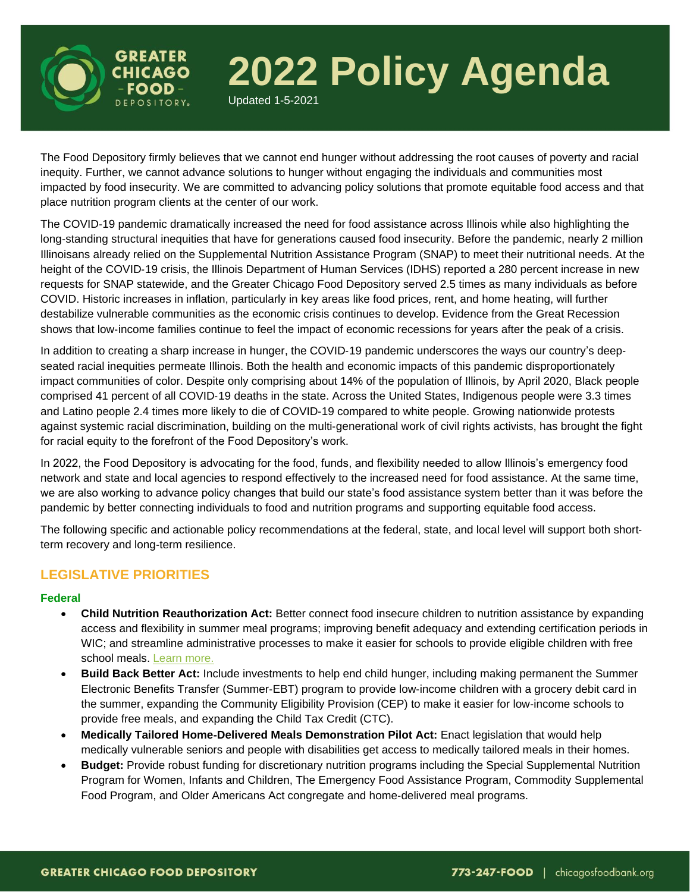

# **2022 Policy Agenda**

Updated 1-5-2021

The Food Depository firmly believes that we cannot end hunger without addressing the root causes of poverty and racial inequity. Further, we cannot advance solutions to hunger without engaging the individuals and communities most impacted by food insecurity. We are committed to advancing policy solutions that promote equitable food access and that place nutrition program clients at the center of our work.

The COVID-19 pandemic dramatically increased the need for food assistance across Illinois while also highlighting the long‐standing structural inequities that have for generations caused food insecurity. Before the pandemic, nearly 2 million Illinoisans already relied on the Supplemental Nutrition Assistance Program (SNAP) to meet their nutritional needs. At the height of the COVID-19 crisis, the Illinois Department of Human Services (IDHS) reported a 280 percent increase in new requests for SNAP statewide, and the Greater Chicago Food Depository served 2.5 times as many individuals as before COVID. Historic increases in inflation, particularly in key areas like food prices, rent, and home heating, will further destabilize vulnerable communities as the economic crisis continues to develop. Evidence from the Great Recession shows that low-income families continue to feel the impact of economic recessions for years after the peak of a crisis.

In addition to creating a sharp increase in hunger, the COVID-19 pandemic underscores the ways our country's deepseated racial inequities permeate Illinois. Both the health and economic impacts of this pandemic disproportionately impact communities of color. Despite only comprising about 14% of the population of Illinois, by April 2020, Black people comprised 41 percent of all COVID-19 deaths in the state. Across the United States, Indigenous people were 3.3 times and Latino people 2.4 times more likely to die of COVID‐19 compared to white people. Growing nationwide protests against systemic racial discrimination, building on the multi‐generational work of civil rights activists, has brought the fight for racial equity to the forefront of the Food Depository's work.

In 2022, the Food Depository is advocating for the food, funds, and flexibility needed to allow Illinois's emergency food network and state and local agencies to respond effectively to the increased need for food assistance. At the same time, we are also working to advance policy changes that build our state's food assistance system better than it was before the pandemic by better connecting individuals to food and nutrition programs and supporting equitable food access.

The following specific and actionable policy recommendations at the federal, state, and local level will support both short‐ term recovery and long‐term resilience.

## **LEGISLATIVE PRIORITIES**

#### **Federal**

- **Child Nutrition Reauthorization Act:** Better connect food insecure children to nutrition assistance by expanding access and flexibility in summer meal programs; improving benefit adequacy and extending certification periods in WIC; and streamline administrative processes to make it easier for schools to provide eligible children with free school meals. [Learn more.](https://www.chicagosfoodbank.org/wp-content/uploads/2022/06/2022_ChildNutritionReauthorization.pdf)
- **Build Back Better Act:** Include investments to help end child hunger, including making permanent the Summer Electronic Benefits Transfer (Summer‐EBT) program to provide low‐income children with a grocery debit card in the summer, expanding the Community Eligibility Provision (CEP) to make it easier for low‐income schools to provide free meals, and expanding the Child Tax Credit (CTC).
- **Medically Tailored Home**‐**Delivered Meals Demonstration Pilot Act:** Enact legislation that would help medically vulnerable seniors and people with disabilities get access to medically tailored meals in their homes.
- **Budget:** Provide robust funding for discretionary nutrition programs including the Special Supplemental Nutrition Program for Women, Infants and Children, The Emergency Food Assistance Program, Commodity Supplemental Food Program, and Older Americans Act congregate and home‐delivered meal programs.